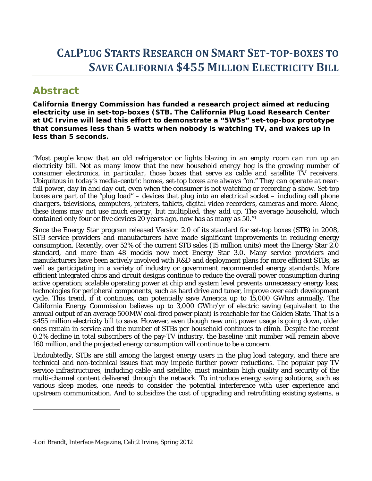# **CALPLUG STARTS RESEARCH ON SMART SET‐TOP‐BOXES TO SAVE CALIFORNIA \$455 MILLION ELECTRICITY BILL**

# **Abstract**

 $\overline{a}$ 

*California Energy Commission has funded a research project aimed at reducing electricity use in set-top-boxes (STB. The California Plug Load Research Center at UC Irvine will lead this effort to demonstrate a "5W5s" set-top-box prototype that consumes less than 5 watts when nobody is watching TV, and wakes up in less than 5 seconds.* 

*"Most people know that an old refrigerator or lights blazing in an empty room can run up an electricity bill. Not as many know that the new household energy hog is the growing number of consumer electronics, in particular, those boxes that serve as cable and satellite TV receivers. Ubiquitous in today's media-centric homes, set-top boxes are always "on." They can operate at nearfull power, day in and day out, even when the consumer is not watching or recording a show. Set-top boxes are part of the "plug load" – devices that plug into an electrical socket – including cell phone chargers, televisions, computers, printers, tablets, digital video recorders, cameras and more. Alone, these items may not use much energy, but multiplied, they add up. The average household, which contained only four or five devices 20 years ago, now has as many as 50."1*

Since the Energy Star program released Version 2.0 of its standard for set-top boxes (STB) in 2008, STB service providers and manufacturers have made significant improvements in reducing energy consumption. Recently, over 52% of the current STB sales (15 million units) meet the Energy Star 2.0 standard, and more than 48 models now meet Energy Star 3.0. Many service providers and manufacturers have been actively involved with R&D and deployment plans for more efficient STBs, as well as participating in a variety of industry or government recommended energy standards. More efficient integrated chips and circuit designs continue to reduce the overall power consumption during active operation; scalable operating power at chip and system level prevents unnecessary energy loss; technologies for peripheral components, such as hard drive and tuner, improve over each development cycle. This trend, if it continues, can potentially save America up to 15,000 GWhrs annually. The California Energy Commission believes up to 3,000 GWhr/yr of electric saving (equivalent to the annual output of an average 500MW coal-fired power plant) is reachable for the Golden State. That is a \$455 million electricity bill to save. However, even though new unit power usage is going down, older ones remain in service and the number of STBs per household continues to climb. Despite the recent 0.2% decline in total subscribers of the pay-TV industry, the baseline unit number will remain above 160 million, and the projected energy consumption will continue to be a concern.

Undoubtedly, STBs are still among the largest energy users in the plug load category, and there are technical and non-technical issues that may impede further power reductions. The popular pay TV service infrastructures, including cable and satellite, must maintain high quality and security of the multi-channel content delivered through the network. To introduce energy saving solutions, such as various sleep modes, one needs to consider the potential interference with user experience and upstream communication. And to subsidize the cost of upgrading and retrofitting existing systems, a

<sup>1</sup>Lori Brandt, Interface Magazine, Calit2 Irvine, Spring 2012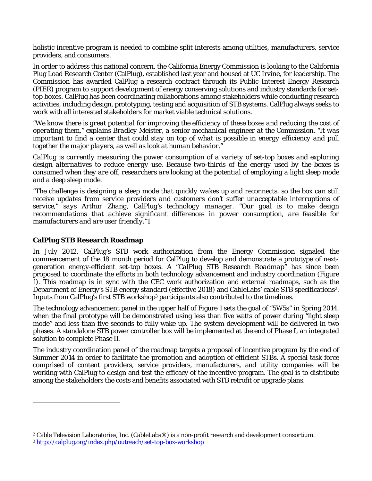holistic incentive program is needed to combine split interests among utilities, manufacturers, service providers, and consumers.

In order to address this national concern, the California Energy Commission is looking to the California Plug Load Research Center (CalPlug), established last year and housed at UC Irvine, for leadership. The Commission has awarded CalPlug a research contract through its Public Interest Energy Research (PIER) program to support development of energy conserving solutions and industry standards for settop boxes. CalPlug has been coordinating collaborations among stakeholders while conducting research activities, including design, prototyping, testing and acquisition of STB systems. CalPlug always seeks to work with all interested stakeholders for market viable technical solutions.

*"We know there is great potential for improving the efficiency of these boxes and reducing the cost of operating them," explains Bradley Meister, a senior mechanical engineer at the Commission. "It was important to find a center that could stay on top of what is possible in energy efficiency and pull*  together the major players, as well as look at human behavior.

*CalPlug is currently measuring the power consumption of a variety of set-top boxes and exploring design alternatives to reduce energy use. Because two-thirds of the energy used by the boxes is consumed when they are off, researchers are looking at the potential of employing a light sleep mode and a deep sleep mode.* 

*"The challenge is designing a sleep mode that quickly wakes up and reconnects, so the box can still receive updates from service providers and customers don't suffer unacceptable interruptions of service," says Arthur Zhang, CalPlug's technology manager. "Our goal is to make design recommendations that achieve significant differences in power consumption, are feasible for manufacturers and are user friendly."*1

## **CalPlug STB Research Roadmap**

 $\overline{a}$ 

In July 2012, CalPlug's STB work authorization from the Energy Commission signaled the commencement of the 18 month period for CalPlug to develop and demonstrate a prototype of nextgeneration energy-efficient set-top boxes. A "*CalPlug STB Research Roadmap*" has since been proposed to coordinate the efforts in both technology advancement and industry coordination (Figure 1). This roadmap is in sync with the CEC work authorization and external roadmaps, such as the Department of Energy's STB energy standard (effective 2018) and CableLabs' cable STB specifications2. Inputs from CalPlug's first STB workshop3 participants also contributed to the timelines.

The technology advancement panel in the upper half of Figure 1 sets the goal of "5W5s" in Spring 2014, when the final prototype will be demonstrated using less than five watts of power during "light sleep mode" and less than five seconds to fully wake up. The system development will be delivered in two phases. A standalone STB power controller box will be implemented at the end of Phase I, an integrated solution to complete Phase II.

The industry coordination panel of the roadmap targets a proposal of incentive program by the end of Summer 2014 in order to facilitate the promotion and adoption of efficient STBs. A special task force comprised of content providers, service providers, manufacturers, and utility companies will be working with CalPlug to design and test the efficacy of the incentive program. The goal is to distribute among the stakeholders the costs and benefits associated with STB retrofit or upgrade plans.

<sup>2</sup> Cable Television Laboratories, Inc. (CableLabs®) is a non-profit research and development consortium.

<sup>3</sup> http://calplug.org/index.php/outreach/set-top-box-workshop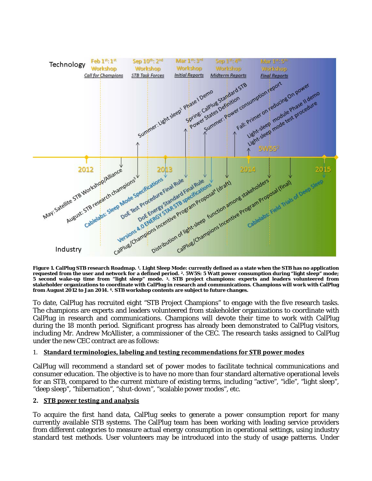

**Figure 1. CalPlug STB research Roadmap. 1. Light Sleep Mode: currently defined as a state when the STB has no application requested from the user and network for a defined period. 2. 5W5S: 5 Watt power consumption during "light sleep" mode; 5 second wake-up time from "light sleep" mode. 3. STB project champions: experts and leaders volunteered from stakeholder organizations to coordinate with CalPlug in research and communications. Champions will work with CalPlug from August 2012 to Jan 2014. 4. STB workshop contents are subject to future changes.** 

To date, CalPlug has recruited eight "STB Project Champions" to engage with the five research tasks. The champions are experts and leaders volunteered from stakeholder organizations to coordinate with CalPlug in research and communications. Champions will devote their time to work with CalPlug during the 18 month period. Significant progress has already been demonstrated to CalPlug visitors, including Mr. Andrew McAllister, a commissioner of the CEC. The research tasks assigned to CalPlug under the new CEC contract are as follows:

#### 1. **Standard terminologies, labeling and testing recommendations for STB power modes**

CalPlug will recommend a standard set of power modes to facilitate technical communications and consumer education. The objective is to have no more than four standard alternative operational levels for an STB, compared to the current mixture of existing terms, including "active", "idle", "light sleep", "deep sleep", "hibernation", "shut-down", "scalable power modes", etc.

#### **2. STB power testing and analysis**

To acquire the first hand data, CalPlug seeks to generate a power consumption report for many currently available STB systems. The CalPlug team has been working with leading service providers from different categories to measure actual energy consumption in operational settings, using industry standard test methods. User volunteers may be introduced into the study of usage patterns. Under